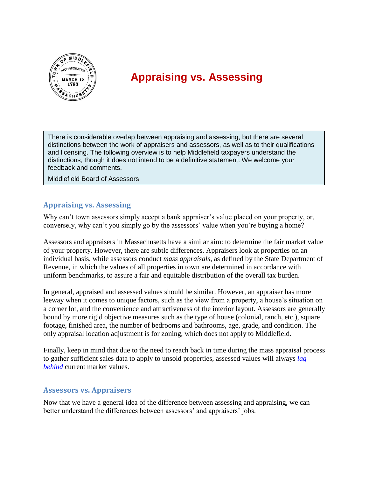

## **Appraising vs. Assessing**

There is considerable overlap between appraising and assessing, but there are several distinctions between the work of appraisers and assessors, as well as to their qualifications and licensing. The following overview is to help Middlefield taxpayers understand the distinctions, though it does not intend to be a definitive statement. We welcome your feedback and comments.

Middlefield Board of Assessors

## **Appraising vs. Assessing**

Why can't town assessors simply accept a bank appraiser's value placed on your property, or, conversely, why can't you simply go by the assessors' value when you're buying a home?

Assessors and appraisers in Massachusetts have a similar aim: to determine the fair market value of your property. However, there are subtle differences. Appraisers look at properties on an individual basis, while assessors conduct *mass appraisals*, as defined by the State Department of Revenue, in which the values of all properties in town are determined in accordance with uniform benchmarks, to assure a fair and equitable distribution of the overall tax burden.

In general, appraised and assessed values should be similar. However, an appraiser has more leeway when it comes to unique factors, such as the view from a property, a house's situation on a corner lot, and the convenience and attractiveness of the interior layout. Assessors are generally bound by more rigid objective measures such as the type of house (colonial, ranch, etc.), square footage, finished area, the number of bedrooms and bathrooms, age, grade, and condition. The only appraisal location adjustment is for zoning, which does not apply to Middlefield.

Finally, keep in mind that due to the need to reach back in time during the mass appraisal process to gather sufficient sales data to apply to unsold properties, assessed values will always *[lag](http://www.middlefieldma.us/DDGAssets/Board/PropertyAssessments.pdf)  [behind](http://www.middlefieldma.us/DDGAssets/Board/PropertyAssessments.pdf)* current market values.

## **Assessors vs. Appraisers**

Now that we have a general idea of the difference between assessing and appraising, we can better understand the differences between assessors' and appraisers' jobs.